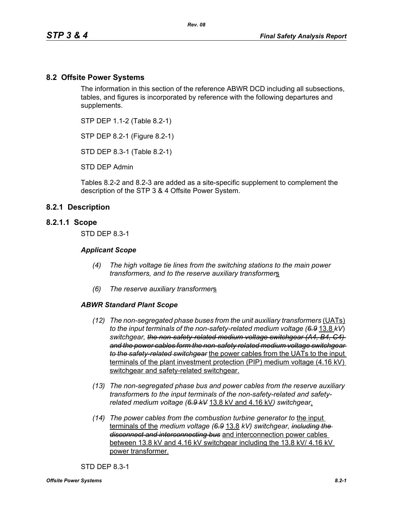## **8.2 Offsite Power Systems**

The information in this section of the reference ABWR DCD including all subsections, tables, and figures is incorporated by reference with the following departures and supplements.

STP DEP 1.1-2 (Table 8.2-1)

STP DEP 8.2-1 (Figure 8.2-1)

STD DEP 8.3-1 (Table 8.2-1)

STD DEP Admin

Tables 8.2-2 and 8.2-3 are added as a site-specific supplement to complement the description of the STP 3 & 4 Offsite Power System.

## **8.2.1 Description**

### **8.2.1.1 Scope**

STD DEP 8.3-1

#### *Applicant Scope*

- *(4) The high voltage tie lines from the switching stations to the main power transformers, and to the reserve auxiliary transformer*s
- *(6) The reserve auxiliary transformer*s

#### *ABWR Standard Plant Scope*

- *(12) The non-segregated phase buses from the unit auxiliary transformers (UATs) to the input terminals of the non-safety-related medium voltage (6.9* 13.8 *kV*) *switchgear, the non-safety-related medium voltage switchgear (A4, B4, C4) and the power cables form the non-safety related medium voltage switchgear to the safety-related switchgear* the power cables from the UATs to the input terminals of the plant investment protection (PIP) medium voltage (4.16 kV) switchgear and safety-related switchgear.
- *(13) The non-segregated phase bus and power cables from the reserve auxiliary transformer*s *to the input terminals of the non-safety-related and safetyrelated medium voltage (6.9 kV* 13.8 kV and 4.16 kV*) switchgear*.
- *(14) The power cables from the combustion turbine generator to* the input terminals of the *medium voltage (6.9* 13.8 *kV) switchgear, including the disconnect and interconnecting bus* and interconnection power cables between 13.8 kV and 4.16 kV switchgear including the 13.8 kV/ 4.16 kV power transformer.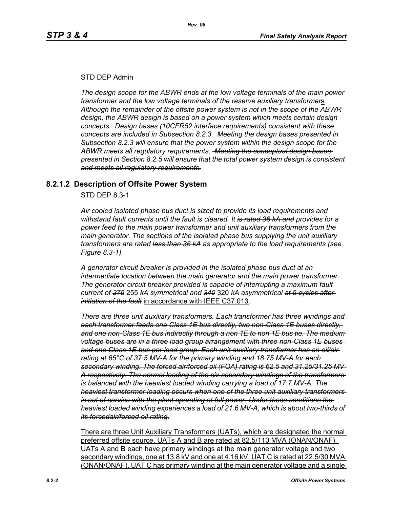## STD DEP Admin

*The design scope for the ABWR ends at the low voltage terminals of the main power transformer and the low voltage terminals of the reserve auxiliary transformer*s*. Although the remainder of the offsite power system is not in the scope of the ABWR design, the ABWR design is based on a power system which meets certain design concepts. Design bases (10CFR52 interface requirements) consistent with these concepts are included in Subsection 8.2.3. Meeting the design bases presented in Subsection 8.2.3 will ensure that the power system within the design scope for the ABWR meets all regulatory requirements. Meeting the conceptual design bases presented in Section 8.2.5 will ensure that the total power system design is consistent and meets all regulatory requirements.*

## **8.2.1.2 Description of Offsite Power System**

STD DEP 8.3-1

*Air cooled isolated phase bus duct is sized to provide its load requirements and withstand fault currents until the fault is cleared. It is rated 36 kA and provides for a power feed to the main power transformer and unit auxiliary transformers from the main generator. The sections of the isolated phase bus supplying the unit auxiliary transformers are rated less than 36 kA as appropriate to the load requirements (see Figure 8.3-1).* 

*A generator circuit breaker is provided in the isolated phase bus duct at an intermediate location between the main generator and the main power transformer. The generator circuit breaker provided is capable of interrupting a maximum fault current of 275* 255 *kA symmetrical and 340* 320 *kA asymmetrical at 5 cycles after initiation of the fault* in accordance with IEEE C37.013*.*

*There are three unit auxiliary transformers. Each transformer has three windings and each transformer feeds one Class 1E bus directly, two non-Class 1E buses directly, and one non-Class 1E bus indirectly through a non 1E to non 1E bus tie. The medium voltage buses are in a three load group arrangement with three non-Class 1E buses and one Class 1E bus per load group. Each unit auxiliary transformer has an oil/air rating at 65°C of 37.5 MV-A for the primary winding and 18.75 MV-A for each secondary winding. The forced air/forced oil (FOA) rating is 62.5 and 31.25/31.25 MV-A respectively. The normal loading of the six secondary windings of the transformers is balanced with the heaviest loaded winding carrying a load of 17.7 MV-A. The heaviest transformer loading occurs when one of the three unit auxiliary transformers is out of service with the plant operating at full power. Under these conditions the heaviest loaded winding experiences a load of 21.6 MV-A, which is about two-thirds of its forcedair/forced oil rating.*

There are three Unit Auxiliary Transformers (UATs), which are designated the normal preferred offsite source. UATs A and B are rated at 82.5/110 MVA (ONAN/ONAF). UATs A and B each have primary windings at the main generator voltage and two secondary windings, one at 13.8 kV and one at 4.16 kV. UAT C is rated at 22.5/30 MVA (ONAN/ONAF). UAT C has primary winding at the main generator voltage and a single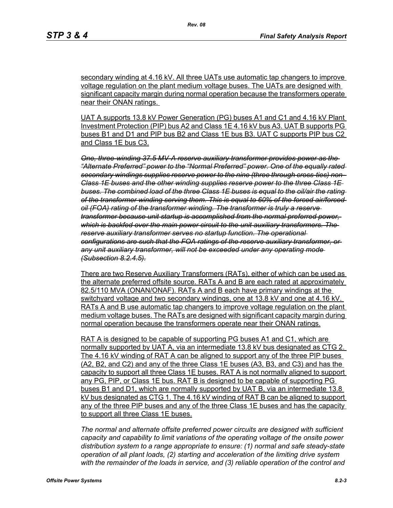secondary winding at 4.16 kV. All three UATs use automatic tap changers to improve voltage regulation on the plant medium voltage buses. The UATs are designed with significant capacity margin during normal operation because the transformers operate near their ONAN ratings.

UAT A supports 13.8 kV Power Generation (PG) buses A1 and C1 and 4.16 kV Plant Investment Protection (PIP) bus A2 and Class 1E 4.16 kV bus A3. UAT B supports PG buses B1 and D1 and PIP bus B2 and Class 1E bus B3. UAT C supports PIP bus C2 and Class 1E bus C3.

*One, three-winding 37.5 MV-A reserve auxiliary transformer provides power as the "Alternate Preferred" power to the "Normal Preferred" power. One of the equally rated secondary windings supplies reserve power to the nine (three through cross-ties) non-Class 1E buses and the other winding supplies reserve power to the three Class 1E buses. The combined load of the three Class 1E buses is equal to the oil/air the rating of the transformer winding serving them. This is equal to 60% of the forced air/forced oil (FOA) rating of the transformer winding. The transformer is truly a reserve transformer because unit startup is accomplished from the normal preferred power, which is backfed over the main power circuit to the unit auxiliary transformers. The reserve auxiliary transformer serves no startup function. The operational configurations are such that the FOA ratings of the reserve auxiliary transformer, or any unit auxiliary transformer, will not be exceeded under any operating mode (Subsection 8.2.4.5).*

There are two Reserve Auxiliary Transformers (RATs), either of which can be used as the alternate preferred offsite source. RATs A and B are each rated at approximately 82.5/110 MVA (ONAN/ONAF). RATs A and B each have primary windings at the switchyard voltage and two secondary windings, one at 13.8 kV and one at 4.16 kV. RATs A and B use automatic tap changers to improve voltage regulation on the plant medium voltage buses. The RATs are designed with significant capacity margin during normal operation because the transformers operate near their ONAN ratings.

RAT A is designed to be capable of supporting PG buses A1 and C1, which are normally supported by UAT A, via an intermediate 13.8 kV bus designated as CTG 2. The 4.16 kV winding of RAT A can be aligned to support any of the three PIP buses (A2, B2, and C2) and any of the three Class 1E buses (A3, B3, and C3) and has the capacity to support all three Class 1E buses. RAT A is not normally aligned to support any PG, PIP, or Class 1E bus. RAT B is designed to be capable of supporting PG buses B1 and D1, which are normally supported by UAT B, via an intermediate 13.8 kV bus designated as CTG 1. The 4.16 kV winding of RAT B can be aligned to support any of the three PIP buses and any of the three Class 1E buses and has the capacity to support all three Class 1E buses.

*The normal and alternate offsite preferred power circuits are designed with sufficient capacity and capability to limit variations of the operating voltage of the onsite power distribution system to a range appropriate to ensure: (1) normal and safe steady-state operation of all plant loads, (2) starting and acceleration of the limiting drive system with the remainder of the loads in service, and (3) reliable operation of the control and*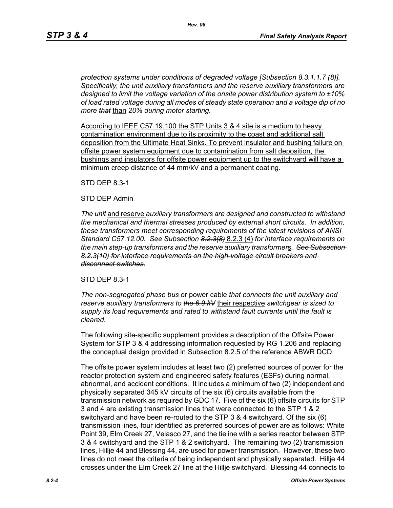*protection systems under conditions of degraded voltage [Subsection 8.3.1.1.7 (8)]. Specifically, the unit auxiliary transformers and the reserve auxiliary transformer*s *are designed to limit the voltage variation of the onsite power distribution system to ±10% of load rated voltage during all modes of steady state operation and a voltage dip of no more that* than *20% during motor starting.*

According to IEEE C57.19.100 the STP Units 3 & 4 site is a medium to heavy contamination environment due to its proximity to the coast and additional salt deposition from the Ultimate Heat Sinks. To prevent insulator and bushing failure on offsite power system equipment due to contamination from salt deposition, the bushings and insulators for offsite power equipment up to the switchyard will have a minimum creep distance of 44 mm/kV and a permanent coating.

STD DEP 8.3-1

## STD DEP Admin

*The unit* and reserve *auxiliary transformers are designed and constructed to withstand the mechanical and thermal stresses produced by external short circuits. In addition, these transformers meet corresponding requirements of the latest revisions of ANSI Standard C57.12.00. See Subsection 8.2.3(8)* 8.2.3 (4) *for interface requirements on the main step-up transformers and the reserve auxiliary transformer*s*. See Subsection 8.2.3(10) for interface requirements on the high-voltage circuit breakers and disconnect switches.*

## STD DEP 8.3-1

*The non-segregated phase bus* or power cable *that connects the unit auxiliary and reserve auxiliary transformers to the 6.9 kV* their respective *switchgear is sized to supply its load requirements and rated to withstand fault currents until the fault is cleared.*

The following site-specific supplement provides a description of the Offsite Power System for STP 3 & 4 addressing information requested by RG 1.206 and replacing the conceptual design provided in Subsection 8.2.5 of the reference ABWR DCD.

The offsite power system includes at least two (2) preferred sources of power for the reactor protection system and engineered safety features (ESFs) during normal, abnormal, and accident conditions. It includes a minimum of two (2) independent and physically separated 345 kV circuits of the six (6) circuits available from the transmission network as required by GDC 17. Five of the six (6) offsite circuits for STP 3 and 4 are existing transmission lines that were connected to the STP 1 & 2 switchyard and have been re-routed to the STP 3 & 4 switchyard. Of the six (6) transmission lines, four identified as preferred sources of power are as follows: White Point 39, Elm Creek 27, Velasco 27, and the tieline with a series reactor between STP 3 & 4 switchyard and the STP 1 & 2 switchyard. The remaining two (2) transmission lines, Hillje 44 and Blessing 44, are used for power transmission. However, these two lines do not meet the criteria of being independent and physically separated. Hillje 44 crosses under the Elm Creek 27 line at the Hillje switchyard. Blessing 44 connects to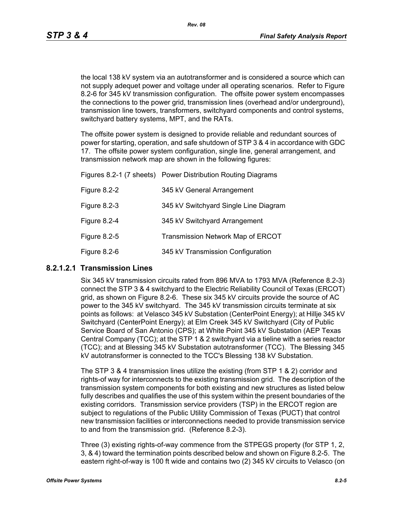the local 138 kV system via an autotransformer and is considered a source which can not supply adequet power and voltage under all operating scenarios. Refer to Figure 8.2-6 for 345 kV transmission configuration. The offsite power system encompasses the connections to the power grid, transmission lines (overhead and/or underground), transmission line towers, transformers, switchyard components and control systems, switchyard battery systems, MPT, and the RATs.

The offsite power system is designed to provide reliable and redundant sources of power for starting, operation, and safe shutdown of STP 3 & 4 in accordance with GDC 17. The offsite power system configuration, single line, general arrangement, and transmission network map are shown in the following figures:

|              | Figures 8.2-1 (7 sheets) Power Distribution Routing Diagrams |
|--------------|--------------------------------------------------------------|
| Figure 8.2-2 | 345 kV General Arrangement                                   |
| Figure 8.2-3 | 345 kV Switchyard Single Line Diagram                        |
| Figure 8.2-4 | 345 kV Switchyard Arrangement                                |
| Figure 8.2-5 | Transmission Network Map of ERCOT                            |
| Figure 8.2-6 | 345 kV Transmission Configuration                            |

## **8.2.1.2.1 Transmission Lines**

Six 345 kV transmission circuits rated from 896 MVA to 1793 MVA (Reference 8.2-3) connect the STP 3 & 4 switchyard to the Electric Reliability Council of Texas (ERCOT) grid, as shown on Figure 8.2-6. These six 345 kV circuits provide the source of AC power to the 345 kV switchyard. The 345 kV transmission circuits terminate at six points as follows: at Velasco 345 kV Substation (CenterPoint Energy); at Hillje 345 kV Switchyard (CenterPoint Energy); at Elm Creek 345 kV Switchyard (City of Public Service Board of San Antonio (CPS); at White Point 345 kV Substation (AEP Texas Central Company (TCC); at the STP 1 & 2 switchyard via a tieline with a series reactor (TCC); and at Blessing 345 kV Substation autotransformer (TCC). The Blessing 345 kV autotransformer is connected to the TCC's Blessing 138 kV Substation.

The STP 3 & 4 transmission lines utilize the existing (from STP 1 & 2) corridor and rights-of way for interconnects to the existing transmission grid. The description of the transmission system components for both existing and new structures as listed below fully describes and qualifies the use of this system within the present boundaries of the existing corridors. Transmission service providers (TSP) in the ERCOT region are subject to regulations of the Public Utility Commission of Texas (PUCT) that control new transmission facilities or interconnections needed to provide transmission service to and from the transmission grid. (Reference 8.2-3).

Three (3) existing rights-of-way commence from the STPEGS property (for STP 1, 2, 3, & 4) toward the termination points described below and shown on Figure 8.2-5. The eastern right-of-way is 100 ft wide and contains two (2) 345 kV circuits to Velasco (on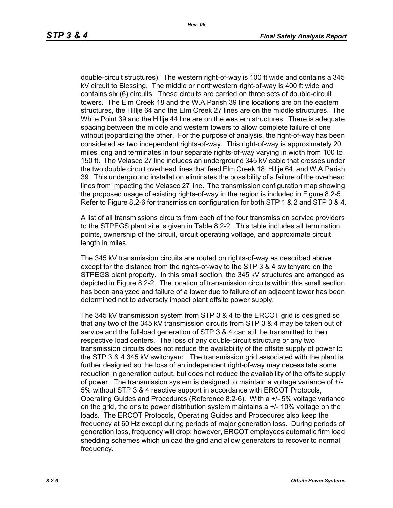double-circuit structures). The western right-of-way is 100 ft wide and contains a 345 kV circuit to Blessing. The middle or northwestern right-of-way is 400 ft wide and contains six (6) circuits. These circuits are carried on three sets of double-circuit towers. The Elm Creek 18 and the W.A.Parish 39 line locations are on the eastern structures, the Hillje 64 and the Elm Creek 27 lines are on the middle structures. The White Point 39 and the Hillje 44 line are on the western structures. There is adequate spacing between the middle and western towers to allow complete failure of one without jeopardizing the other. For the purpose of analysis, the right-of-way has been considered as two independent rights-of-way. This right-of-way is approximately 20 miles long and terminates in four separate rights-of-way varying in width from 100 to 150 ft. The Velasco 27 line includes an underground 345 kV cable that crosses under the two double circuit overhead lines that feed Elm Creek 18, Hillje 64, and W.A.Parish 39. This underground installation eliminates the possibility of a failure of the overhead lines from impacting the Velasco 27 line. The transmission configuration map showing the proposed usage of existing rights-of-way in the region is included in Figure 8.2-5. Refer to Figure 8.2-6 for transmission configuration for both STP 1 & 2 and STP 3 & 4.

A list of all transmissions circuits from each of the four transmission service providers to the STPEGS plant site is given in Table 8.2-2. This table includes all termination points, ownership of the circuit, circuit operating voltage, and approximate circuit length in miles.

The 345 kV transmission circuits are routed on rights-of-way as described above except for the distance from the rights-of-way to the STP 3 & 4 switchyard on the STPEGS plant property. In this small section, the 345 kV structures are arranged as depicted in Figure 8.2-2. The location of transmission circuits within this small section has been analyzed and failure of a tower due to failure of an adjacent tower has been determined not to adversely impact plant offsite power supply.

The 345 kV transmission system from STP 3 & 4 to the ERCOT grid is designed so that any two of the 345 kV transmission circuits from STP 3 & 4 may be taken out of service and the full-load generation of STP 3 & 4 can still be transmitted to their respective load centers. The loss of any double-circuit structure or any two transmission circuits does not reduce the availability of the offsite supply of power to the STP 3 & 4 345 kV switchyard. The transmission grid associated with the plant is further designed so the loss of an independent right-of-way may necessitate some reduction in generation output, but does not reduce the availability of the offsite supply of power. The transmission system is designed to maintain a voltage variance of +/- 5% without STP 3 & 4 reactive support in accordance with ERCOT Protocols, Operating Guides and Procedures (Reference 8.2-6). With a +/- 5% voltage variance on the grid, the onsite power distribution system maintains  $a +1$  10% voltage on the loads. The ERCOT Protocols, Operating Guides and Procedures also keep the frequency at 60 Hz except during periods of major generation loss. During periods of generation loss, frequency will drop; however, ERCOT employees automatic firm load shedding schemes which unload the grid and allow generators to recover to normal frequency.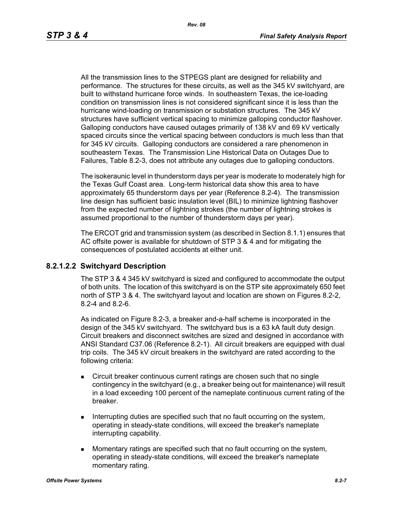All the transmission lines to the STPEGS plant are designed for reliability and performance. The structures for these circuits, as well as the 345 kV switchyard, are built to withstand hurricane force winds. In southeastern Texas, the ice-loading condition on transmission lines is not considered significant since it is less than the hurricane wind-loading on transmission or substation structures. The 345 kV structures have sufficient vertical spacing to minimize galloping conductor flashover. Galloping conductors have caused outages primarily of 138 kV and 69 kV vertically spaced circuits since the vertical spacing between conductors is much less than that for 345 kV circuits. Galloping conductors are considered a rare phenomenon in southeastern Texas. The Transmission Line Historical Data on Outages Due to Failures, Table 8.2-3, does not attribute any outages due to galloping conductors.

The isokeraunic level in thunderstorm days per year is moderate to moderately high for the Texas Gulf Coast area. Long-term historical data show this area to have approximately 65 thunderstorm days per year (Reference 8.2-4). The transmission line design has sufficient basic insulation level (BIL) to minimize lightning flashover from the expected number of lightning strokes (the number of lightning strokes is assumed proportional to the number of thunderstorm days per year).

The ERCOT grid and transmission system (as described in Section 8.1.1) ensures that AC offsite power is available for shutdown of STP 3 & 4 and for mitigating the consequences of postulated accidents at either unit.

## **8.2.1.2.2 Switchyard Description**

The STP 3 & 4 345 kV switchyard is sized and configured to accommodate the output of both units. The location of this switchyard is on the STP site approximately 650 feet north of STP 3 & 4. The switchyard layout and location are shown on Figures 8.2-2, 8.2-4 and 8.2-6.

As indicated on Figure 8.2-3, a breaker and-a-half scheme is incorporated in the design of the 345 kV switchyard. The switchyard bus is a 63 kA fault duty design. Circuit breakers and disconnect switches are sized and designed in accordance with ANSI Standard C37.06 (Reference 8.2-1). All circuit breakers are equipped with dual trip coils. The 345 kV circuit breakers in the switchyard are rated according to the following criteria:

- Circuit breaker continuous current ratings are chosen such that no single contingency in the switchyard (e.g., a breaker being out for maintenance) will result in a load exceeding 100 percent of the nameplate continuous current rating of the breaker.
- Interrupting duties are specified such that no fault occurring on the system, operating in steady-state conditions, will exceed the breaker's nameplate interrupting capability.
- **Momentary ratings are specified such that no fault occurring on the system,** operating in steady-state conditions, will exceed the breaker's nameplate momentary rating.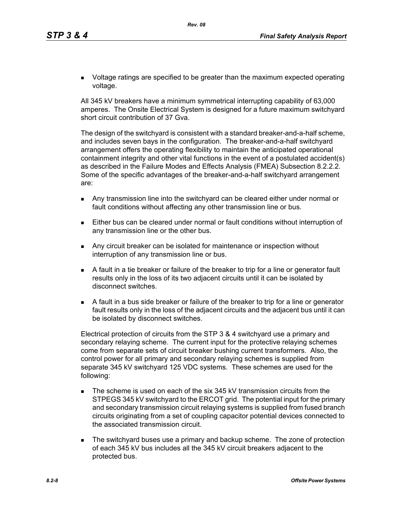**DED** Voltage ratings are specified to be greater than the maximum expected operating voltage.

All 345 kV breakers have a minimum symmetrical interrupting capability of 63,000 amperes. The Onsite Electrical System is designed for a future maximum switchyard short circuit contribution of 37 Gva.

The design of the switchyard is consistent with a standard breaker-and-a-half scheme, and includes seven bays in the configuration. The breaker-and-a-half switchyard arrangement offers the operating flexibility to maintain the anticipated operational containment integrity and other vital functions in the event of a postulated accident(s) as described in the Failure Modes and Effects Analysis (FMEA) Subsection 8.2.2.2. Some of the specific advantages of the breaker-and-a-half switchyard arrangement are:

- Any transmission line into the switchyard can be cleared either under normal or fault conditions without affecting any other transmission line or bus.
- Either bus can be cleared under normal or fault conditions without interruption of any transmission line or the other bus.
- **Any circuit breaker can be isolated for maintenance or inspection without** interruption of any transmission line or bus.
- A fault in a tie breaker or failure of the breaker to trip for a line or generator fault results only in the loss of its two adjacent circuits until it can be isolated by disconnect switches.
- A fault in a bus side breaker or failure of the breaker to trip for a line or generator fault results only in the loss of the adjacent circuits and the adjacent bus until it can be isolated by disconnect switches.

Electrical protection of circuits from the STP 3 & 4 switchyard use a primary and secondary relaying scheme. The current input for the protective relaying schemes come from separate sets of circuit breaker bushing current transformers. Also, the control power for all primary and secondary relaying schemes is supplied from separate 345 kV switchyard 125 VDC systems. These schemes are used for the following:

- The scheme is used on each of the six 345 kV transmission circuits from the STPEGS 345 kV switchyard to the ERCOT grid. The potential input for the primary and secondary transmission circuit relaying systems is supplied from fused branch circuits originating from a set of coupling capacitor potential devices connected to the associated transmission circuit.
- **The switchyard buses use a primary and backup scheme. The zone of protection** of each 345 kV bus includes all the 345 kV circuit breakers adjacent to the protected bus.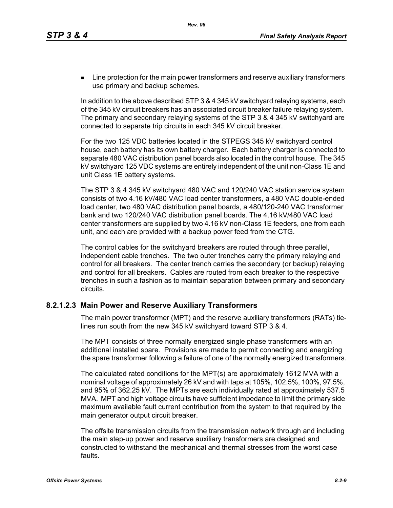**EXECT** Line protection for the main power transformers and reserve auxiliary transformers use primary and backup schemes.

In addition to the above described STP 3 & 4 345 kV switchyard relaying systems, each of the 345 kV circuit breakers has an associated circuit breaker failure relaying system. The primary and secondary relaying systems of the STP 3 & 4 345 kV switchyard are connected to separate trip circuits in each 345 kV circuit breaker.

For the two 125 VDC batteries located in the STPEGS 345 kV switchyard control house, each battery has its own battery charger. Each battery charger is connected to separate 480 VAC distribution panel boards also located in the control house. The 345 kV switchyard 125 VDC systems are entirely independent of the unit non-Class 1E and unit Class 1E battery systems.

The STP 3 & 4 345 kV switchyard 480 VAC and 120/240 VAC station service system consists of two 4.16 kV/480 VAC load center transformers, a 480 VAC double-ended load center, two 480 VAC distribution panel boards, a 480/120-240 VAC transformer bank and two 120/240 VAC distribution panel boards. The 4.16 kV/480 VAC load center transformers are supplied by two 4.16 kV non-Class 1E feeders, one from each unit, and each are provided with a backup power feed from the CTG.

The control cables for the switchyard breakers are routed through three parallel, independent cable trenches. The two outer trenches carry the primary relaying and control for all breakers. The center trench carries the secondary (or backup) relaying and control for all breakers. Cables are routed from each breaker to the respective trenches in such a fashion as to maintain separation between primary and secondary circuits.

## **8.2.1.2.3 Main Power and Reserve Auxiliary Transformers**

The main power transformer (MPT) and the reserve auxiliary transformers (RATs) tielines run south from the new 345 kV switchyard toward STP 3 & 4.

The MPT consists of three normally energized single phase transformers with an additional installed spare. Provisions are made to permit connecting and energizing the spare transformer following a failure of one of the normally energized transformers.

The calculated rated conditions for the MPT(s) are approximately 1612 MVA with a nominal voltage of approximately 26 kV and with taps at 105%, 102.5%, 100%, 97.5%, and 95% of 362.25 kV. The MPTs are each individually rated at approximately 537.5 MVA. MPT and high voltage circuits have sufficient impedance to limit the primary side maximum available fault current contribution from the system to that required by the main generator output circuit breaker.

The offsite transmission circuits from the transmission network through and including the main step-up power and reserve auxiliary transformers are designed and constructed to withstand the mechanical and thermal stresses from the worst case faults.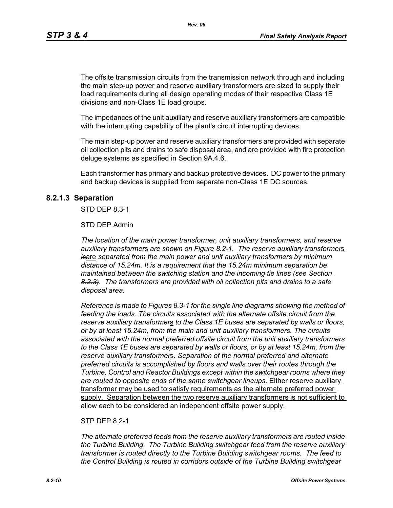The offsite transmission circuits from the transmission network through and including the main step-up power and reserve auxiliary transformers are sized to supply their load requirements during all design operating modes of their respective Class 1E divisions and non-Class 1E load groups.

The impedances of the unit auxiliary and reserve auxiliary transformers are compatible with the interrupting capability of the plant's circuit interrupting devices.

The main step-up power and reserve auxiliary transformers are provided with separate oil collection pits and drains to safe disposal area, and are provided with fire protection deluge systems as specified in Section 9A.4.6.

Each transformer has primary and backup protective devices. DC power to the primary and backup devices is supplied from separate non-Class 1E DC sources.

#### **8.2.1.3 Separation**

STD DEP 8.3-1

#### STD DEP Admin

*The location of the main power transformer, unit auxiliary transformers, and reserve auxiliary transformer*s *are shown on Figure 8.2-1. The reserve auxiliary transformer*s *is*are *separated from the main power and unit auxiliary transformers by minimum distance of 15.24m. It is a requirement that the 15.24m minimum separation be maintained between the switching station and the incoming tie lines (see Section 8.2.3). The transformers are provided with oil collection pits and drains to a safe disposal area.*

*Reference is made to Figures 8.3-1 for the single line diagrams showing the method of feeding the loads. The circuits associated with the alternate offsite circuit from the reserve auxiliary transformer*s *to the Class 1E buses are separated by walls or floors, or by at least 15.24m, from the main and unit auxiliary transformers. The circuits associated with the normal preferred offsite circuit from the unit auxiliary transformers to the Class 1E buses are separated by walls or floors, or by at least 15.24m, from the reserve auxiliary transformer*s*. Separation of the normal preferred and alternate preferred circuits is accomplished by floors and walls over their routes through the Turbine, Control and Reactor Buildings except within the switchgear rooms where they are routed to opposite ends of the same switchgear lineups.* Either reserve auxiliary transformer may be used to satisfy requirements as the alternate preferred power supply. Separation between the two reserve auxiliary transformers is not sufficient to allow each to be considered an independent offsite power supply.

#### STP DFP 8 2-1

*The alternate preferred feeds from the reserve auxiliary transformers are routed inside the Turbine Building. The Turbine Building switchgear feed from the reserve auxiliary transformer is routed directly to the Turbine Building switchgear rooms. The feed to the Control Building is routed in corridors outside of the Turbine Building switchgear*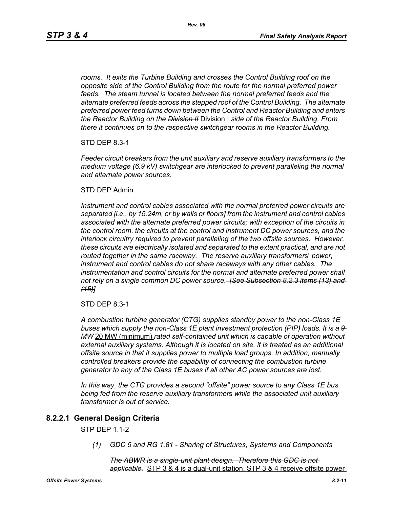*rooms. It exits the Turbine Building and crosses the Control Building roof on the opposite side of the Control Building from the route for the normal preferred power feeds. The steam tunnel is located between the normal preferred feeds and the alternate preferred feeds across the stepped roof of the Control Building. The alternate preferred power feed turns down between the Control and Reactor Building and enters the Reactor Building on the Division II* Division I *side of the Reactor Building. From there it continues on to the respective switchgear rooms in the Reactor Building.*

STD DEP 8.3-1

*Feeder circuit breakers from the unit auxiliary and reserve auxiliary transformers to the medium voltage (6.9 kV) switchgear are interlocked to prevent paralleling the normal and alternate power sources.*

#### STD DEP Admin

*Instrument and control cables associated with the normal preferred power circuits are separated [i.e., by 15.24m, or by walls or floors] from the instrument and control cables associated with the alternate preferred power circuits; with exception of the circuits in the control room, the circuits at the control and instrument DC power sources, and the interlock circuitry required to prevent paralleling of the two offsite sources. However, these circuits are electrically isolated and separated to the extent practical, and are not routed together in the same raceway. The reserve auxiliary transformer*s' *power, instrument and control cables do not share raceways with any other cables. The instrumentation and control circuits for the normal and alternate preferred power shall not rely on a single common DC power source. [See Subsection 8.2.3 items (13) and (15)]*

STD DEP 8.3-1

*A combustion turbine generator (CTG) supplies standby power to the non-Class 1E buses which supply the non-Class 1E plant investment protection (PIP) loads. It is a 9 MW* 20 MW (minimum) *rated self-contained unit which is capable of operation without external auxiliary systems. Although it is located on site, it is treated as an additional offsite source in that it supplies power to multiple load groups. In addition, manually controlled breakers provide the capability of connecting the combustion turbine generator to any of the Class 1E buses if all other AC power sources are lost.*

*In this way, the CTG provides a second "offsite" power source to any Class 1E bus being fed from the reserve auxiliary transformer*s *while the associated unit auxiliary transformer is out of service.*

## **8.2.2.1 General Design Criteria**

STP DEP 1.1-2

*(1) GDC 5 and RG 1.81 - Sharing of Structures, Systems and Components*

*The ABWR is a single-unit plant design. Therefore this GDC is not applicable.* STP 3 & 4 is a dual-unit station. STP 3 & 4 receive offsite power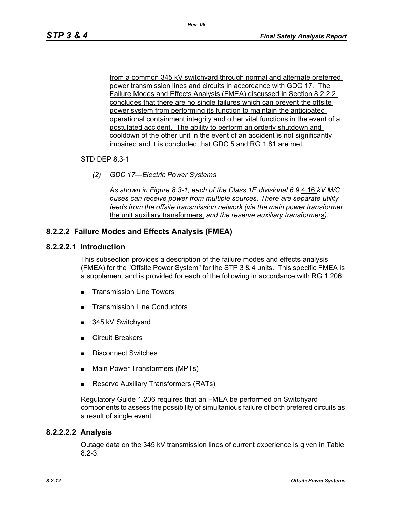from a common 345 kV switchyard through normal and alternate preferred power transmission lines and circuits in accordance with GDC 17. The Failure Modes and Effects Analysis (FMEA) discussed in Section 8.2.2.2 concludes that there are no single failures which can prevent the offsite power system from performing its function to maintain the anticipated operational containment integrity and other vital functions in the event of a postulated accident. The ability to perform an orderly shutdown and cooldown of the other unit in the event of an accident is not significantly impaired and it is concluded that GDC 5 and RG 1.81 are met.

#### STD DEP 8.3-1

*(2) GDC 17—Electric Power Systems*

*As shown in Figure 8.3-1, each of the Class 1E divisional 6.9* 4.16 *kV M/C buses can receive power from multiple sources. There are separate utility feeds from the offsite transmission network (via the main power transformer*, the unit auxiliary transformers, *and the reserve auxiliary transformer*s*).*

## **8.2.2.2 Failure Modes and Effects Analysis (FMEA)**

#### **8.2.2.2.1 Introduction**

This subsection provides a description of the failure modes and effects analysis (FMEA) for the "Offsite Power System" for the STP 3 & 4 units. This specific FMEA is a supplement and is provided for each of the following in accordance with RG 1.206:

- **Transmission Line Towers**
- Transmission Line Conductors
- 345 kV Switchyard
- **Exercuit Breakers**
- **Disconnect Switches**
- **Main Power Transformers (MPTs)**
- **Reserve Auxiliary Transformers (RATs)**

Regulatory Guide 1.206 requires that an FMEA be performed on Switchyard components to assess the possibility of simultanious failure of both prefered circuits as a result of single event.

## **8.2.2.2.2 Analysis**

Outage data on the 345 kV transmission lines of current experience is given in Table 8.2-3.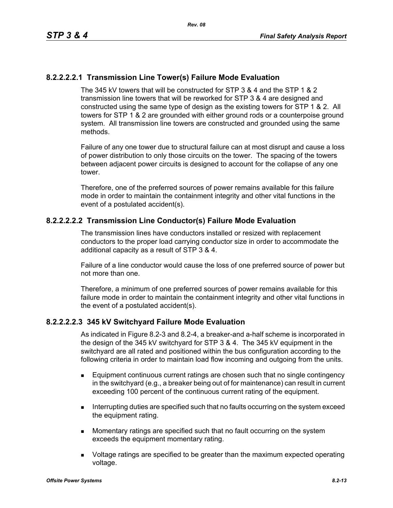## **8.2.2.2.2.1 Transmission Line Tower(s) Failure Mode Evaluation**

The 345 kV towers that will be constructed for STP 3 & 4 and the STP 1 & 2 transmission line towers that will be reworked for STP 3 & 4 are designed and constructed using the same type of design as the existing towers for STP 1 & 2. All towers for STP 1 & 2 are grounded with either ground rods or a counterpoise ground system. All transmission line towers are constructed and grounded using the same methods.

Failure of any one tower due to structural failure can at most disrupt and cause a loss of power distribution to only those circuits on the tower. The spacing of the towers between adjacent power circuits is designed to account for the collapse of any one tower.

Therefore, one of the preferred sources of power remains available for this failure mode in order to maintain the containment integrity and other vital functions in the event of a postulated accident(s).

#### **8.2.2.2.2.2 Transmission Line Conductor(s) Failure Mode Evaluation**

The transmission lines have conductors installed or resized with replacement conductors to the proper load carrying conductor size in order to accommodate the additional capacity as a result of STP 3 & 4.

Failure of a line conductor would cause the loss of one preferred source of power but not more than one.

Therefore, a minimum of one preferred sources of power remains available for this failure mode in order to maintain the containment integrity and other vital functions in the event of a postulated accident(s).

#### **8.2.2.2.2.3 345 kV Switchyard Failure Mode Evaluation**

As indicated in Figure 8.2-3 and 8.2-4, a breaker-and a-half scheme is incorporated in the design of the 345 kV switchyard for STP 3 & 4. The 345 kV equipment in the switchyard are all rated and positioned within the bus configuration according to the following criteria in order to maintain load flow incoming and outgoing from the units.

- Equipment continuous current ratings are chosen such that no single contingency in the switchyard (e.g., a breaker being out of for maintenance) can result in current exceeding 100 percent of the continuous current rating of the equipment.
- **Interrupting duties are specified such that no faults occurring on the system exceed** the equipment rating.
- **Momentary ratings are specified such that no fault occurring on the system** exceeds the equipment momentary rating.
- **DED** Voltage ratings are specified to be greater than the maximum expected operating voltage.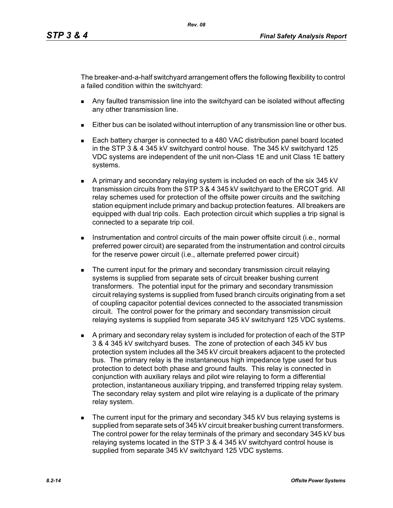The breaker-and-a-half switchyard arrangement offers the following flexibility to control a failed condition within the switchyard:

- Any faulted transmission line into the switchyard can be isolated without affecting any other transmission line.
- Either bus can be isolated without interruption of any transmission line or other bus.
- Each battery charger is connected to a 480 VAC distribution panel board located in the STP 3 & 4 345 kV switchyard control house. The 345 kV switchyard 125 VDC systems are independent of the unit non-Class 1E and unit Class 1E battery systems.
- A primary and secondary relaying system is included on each of the six 345 kV transmission circuits from the STP 3 & 4 345 kV switchyard to the ERCOT grid. All relay schemes used for protection of the offsite power circuits and the switching station equipment include primary and backup protection features. All breakers are equipped with dual trip coils. Each protection circuit which supplies a trip signal is connected to a separate trip coil.
- **Instrumentation and control circuits of the main power offsite circuit (i.e., normal** preferred power circuit) are separated from the instrumentation and control circuits for the reserve power circuit (i.e., alternate preferred power circuit)
- **The current input for the primary and secondary transmission circuit relaying** systems is supplied from separate sets of circuit breaker bushing current transformers. The potential input for the primary and secondary transmission circuit relaying systems is supplied from fused branch circuits originating from a set of coupling capacitor potential devices connected to the associated transmission circuit. The control power for the primary and secondary transmission circuit relaying systems is supplied from separate 345 kV switchyard 125 VDC systems.
- A primary and secondary relay system is included for protection of each of the STP 3 & 4 345 kV switchyard buses. The zone of protection of each 345 kV bus protection system includes all the 345 kV circuit breakers adjacent to the protected bus. The primary relay is the instantaneous high impedance type used for bus protection to detect both phase and ground faults. This relay is connected in conjunction with auxiliary relays and pilot wire relaying to form a differential protection, instantaneous auxiliary tripping, and transferred tripping relay system. The secondary relay system and pilot wire relaying is a duplicate of the primary relay system.
- The current input for the primary and secondary 345 kV bus relaying systems is supplied from separate sets of 345 kV circuit breaker bushing current transformers. The control power for the relay terminals of the primary and secondary 345 kV bus relaying systems located in the STP 3 & 4 345 kV switchyard control house is supplied from separate 345 kV switchyard 125 VDC systems.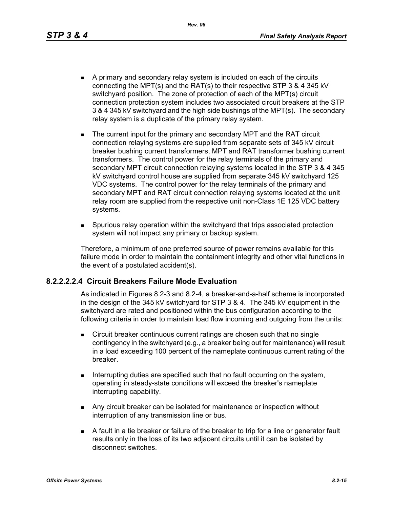*Rev. 08*

- A primary and secondary relay system is included on each of the circuits connecting the MPT(s) and the RAT(s) to their respective STP 3 & 4 345 kV switchyard position. The zone of protection of each of the MPT(s) circuit connection protection system includes two associated circuit breakers at the STP 3 & 4 345 kV switchyard and the high side bushings of the MPT(s). The secondary relay system is a duplicate of the primary relay system.
- The current input for the primary and secondary MPT and the RAT circuit connection relaying systems are supplied from separate sets of 345 kV circuit breaker bushing current transformers, MPT and RAT transformer bushing current transformers. The control power for the relay terminals of the primary and secondary MPT circuit connection relaying systems located in the STP 3 & 4 345 kV switchyard control house are supplied from separate 345 kV switchyard 125 VDC systems. The control power for the relay terminals of the primary and secondary MPT and RAT circuit connection relaying systems located at the unit relay room are supplied from the respective unit non-Class 1E 125 VDC battery systems.
- Spurious relay operation within the switchyard that trips associated protection system will not impact any primary or backup system.

Therefore, a minimum of one preferred source of power remains available for this failure mode in order to maintain the containment integrity and other vital functions in the event of a postulated accident(s).

## **8.2.2.2.2.4 Circuit Breakers Failure Mode Evaluation**

As indicated in Figures 8.2-3 and 8.2-4, a breaker-and-a-half scheme is incorporated in the design of the 345 kV switchyard for STP 3 & 4. The 345 kV equipment in the switchyard are rated and positioned within the bus configuration according to the following criteria in order to maintain load flow incoming and outgoing from the units:

- **EXECT** Circuit breaker continuous current ratings are chosen such that no single contingency in the switchyard (e.g., a breaker being out for maintenance) will result in a load exceeding 100 percent of the nameplate continuous current rating of the breaker.
- Interrupting duties are specified such that no fault occurring on the system, operating in steady-state conditions will exceed the breaker's nameplate interrupting capability.
- **Any circuit breaker can be isolated for maintenance or inspection without** interruption of any transmission line or bus.
- A fault in a tie breaker or failure of the breaker to trip for a line or generator fault results only in the loss of its two adjacent circuits until it can be isolated by disconnect switches.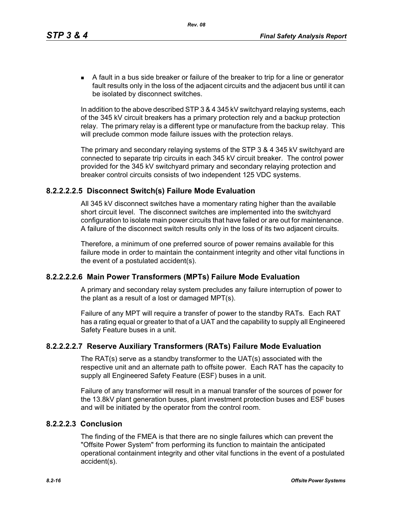A fault in a bus side breaker or failure of the breaker to trip for a line or generator fault results only in the loss of the adjacent circuits and the adjacent bus until it can be isolated by disconnect switches.

In addition to the above described STP 3 & 4 345 kV switchyard relaying systems, each of the 345 kV circuit breakers has a primary protection rely and a backup protection relay. The primary relay is a different type or manufacture from the backup relay. This will preclude common mode failure issues with the protection relays.

The primary and secondary relaying systems of the STP 3 & 4 345 kV switchyard are connected to separate trip circuits in each 345 kV circuit breaker. The control power provided for the 345 kV switchyard primary and secondary relaying protection and breaker control circuits consists of two independent 125 VDC systems.

## **8.2.2.2.2.5 Disconnect Switch(s) Failure Mode Evaluation**

All 345 kV disconnect switches have a momentary rating higher than the available short circuit level. The disconnect switches are implemented into the switchyard configuration to isolate main power circuits that have failed or are out for maintenance. A failure of the disconnect switch results only in the loss of its two adjacent circuits.

Therefore, a minimum of one preferred source of power remains available for this failure mode in order to maintain the containment integrity and other vital functions in the event of a postulated accident(s).

## **8.2.2.2.2.6 Main Power Transformers (MPTs) Failure Mode Evaluation**

A primary and secondary relay system precludes any failure interruption of power to the plant as a result of a lost or damaged MPT(s).

Failure of any MPT will require a transfer of power to the standby RATs. Each RAT has a rating equal or greater to that of a UAT and the capability to supply all Engineered Safety Feature buses in a unit.

## **8.2.2.2.2.7 Reserve Auxiliary Transformers (RATs) Failure Mode Evaluation**

The RAT(s) serve as a standby transformer to the UAT(s) associated with the respective unit and an alternate path to offsite power. Each RAT has the capacity to supply all Engineered Safety Feature (ESF) buses in a unit.

Failure of any transformer will result in a manual transfer of the sources of power for the 13.8kV plant generation buses, plant investment protection buses and ESF buses and will be initiated by the operator from the control room.

## **8.2.2.2.3 Conclusion**

The finding of the FMEA is that there are no single failures which can prevent the "Offsite Power System" from performing its function to maintain the anticipated operational containment integrity and other vital functions in the event of a postulated accident(s).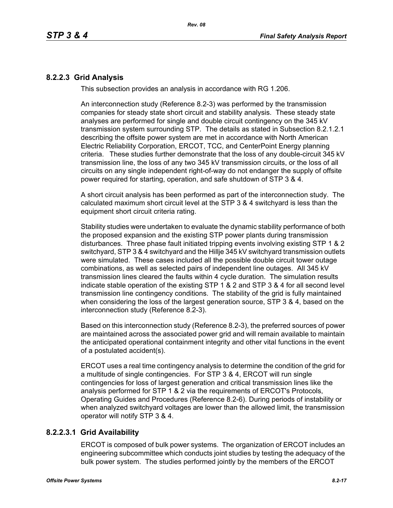## **8.2.2.3 Grid Analysis**

This subsection provides an analysis in accordance with RG 1.206.

An interconnection study (Reference 8.2-3) was performed by the transmission companies for steady state short circuit and stability analysis. These steady state analyses are performed for single and double circuit contingency on the 345 kV transmission system surrounding STP. The details as stated in Subsection 8.2.1.2.1 describing the offsite power system are met in accordance with North American Electric Reliability Corporation, ERCOT, TCC, and CenterPoint Energy planning criteria. These studies further demonstrate that the loss of any double-circuit 345 kV transmission line, the loss of any two 345 kV transmission circuits, or the loss of all circuits on any single independent right-of-way do not endanger the supply of offsite power required for starting, operation, and safe shutdown of STP 3 & 4.

A short circuit analysis has been performed as part of the interconnection study. The calculated maximum short circuit level at the STP 3 & 4 switchyard is less than the equipment short circuit criteria rating.

Stability studies were undertaken to evaluate the dynamic stability performance of both the proposed expansion and the existing STP power plants during transmission disturbances. Three phase fault initiated tripping events involving existing STP 1 & 2 switchyard, STP 3 & 4 switchyard and the Hillje 345 kV switchyard transmission outlets were simulated. These cases included all the possible double circuit tower outage combinations, as well as selected pairs of independent line outages. All 345 kV transmission lines cleared the faults within 4 cycle duration. The simulation results indicate stable operation of the existing STP 1 & 2 and STP 3 & 4 for all second level transmission line contingency conditions. The stability of the grid is fully maintained when considering the loss of the largest generation source, STP 3 & 4, based on the interconnection study (Reference 8.2-3).

Based on this interconnection study (Reference 8.2-3), the preferred sources of power are maintained across the associated power grid and will remain available to maintain the anticipated operational containment integrity and other vital functions in the event of a postulated accident(s).

ERCOT uses a real time contingency analysis to determine the condition of the grid for a multitude of single contingencies. For STP 3 & 4, ERCOT will run single contingencies for loss of largest generation and critical transmission lines like the analysis performed for STP 1 & 2 via the requirements of ERCOT's Protocols, Operating Guides and Procedures (Reference 8.2-6). During periods of instability or when analyzed switchyard voltages are lower than the allowed limit, the transmission operator will notify STP 3 & 4.

## **8.2.2.3.1 Grid Availability**

ERCOT is composed of bulk power systems. The organization of ERCOT includes an engineering subcommittee which conducts joint studies by testing the adequacy of the bulk power system. The studies performed jointly by the members of the ERCOT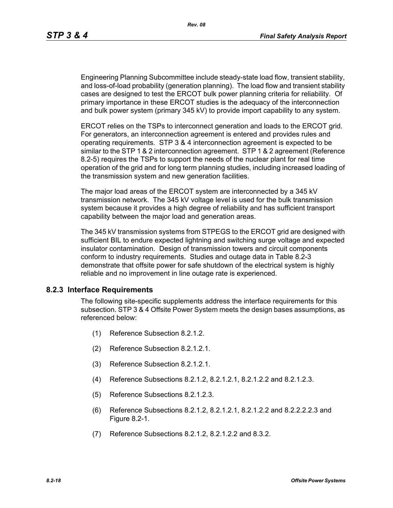Engineering Planning Subcommittee include steady-state load flow, transient stability, and loss-of-load probability (generation planning). The load flow and transient stability cases are designed to test the ERCOT bulk power planning criteria for reliability. Of primary importance in these ERCOT studies is the adequacy of the interconnection and bulk power system (primary 345 kV) to provide import capability to any system.

ERCOT relies on the TSPs to interconnect generation and loads to the ERCOT grid. For generators, an interconnection agreement is entered and provides rules and operating requirements. STP 3 & 4 interconnection agreement is expected to be similar to the STP 1 & 2 interconnection agreement. STP 1 & 2 agreement (Reference 8.2-5) requires the TSPs to support the needs of the nuclear plant for real time operation of the grid and for long term planning studies, including increased loading of the transmission system and new generation facilities.

The major load areas of the ERCOT system are interconnected by a 345 kV transmission network. The 345 kV voltage level is used for the bulk transmission system because it provides a high degree of reliability and has sufficient transport capability between the major load and generation areas.

The 345 kV transmission systems from STPEGS to the ERCOT grid are designed with sufficient BIL to endure expected lightning and switching surge voltage and expected insulator contamination. Design of transmission towers and circuit components conform to industry requirements. Studies and outage data in Table 8.2-3 demonstrate that offsite power for safe shutdown of the electrical system is highly reliable and no improvement in line outage rate is experienced.

## **8.2.3 Interface Requirements**

The following site-specific supplements address the interface requirements for this subsection. STP 3 & 4 Offsite Power System meets the design bases assumptions, as referenced below:

- (1) Reference Subsection 8.2.1.2.
- (2) Reference Subsection 8.2.1.2.1.
- (3) Reference Subsection 8.2.1.2.1.
- (4) Reference Subsections 8.2.1.2, 8.2.1.2.1, 8.2.1.2.2 and 8.2.1.2.3.
- (5) Reference Subsections 8.2.1.2.3.
- (6) Reference Subsections 8.2.1.2, 8.2.1.2.1, 8.2.1.2.2 and 8.2.2.2.2.3 and Figure 8.2-1.
- (7) Reference Subsections 8.2.1.2, 8.2.1.2.2 and 8.3.2.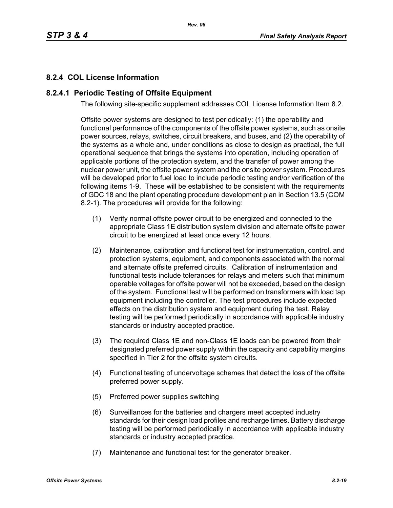# **8.2.4 COL License Information**

## **8.2.4.1 Periodic Testing of Offsite Equipment**

The following site-specific supplement addresses COL License Information Item 8.2.

Offsite power systems are designed to test periodically: (1) the operability and functional performance of the components of the offsite power systems, such as onsite power sources, relays, switches, circuit breakers, and buses, and (2) the operability of the systems as a whole and, under conditions as close to design as practical, the full operational sequence that brings the systems into operation, including operation of applicable portions of the protection system, and the transfer of power among the nuclear power unit, the offsite power system and the onsite power system. Procedures will be developed prior to fuel load to include periodic testing and/or verification of the following items 1-9. These will be established to be consistent with the requirements of GDC 18 and the plant operating procedure development plan in Section 13.5 (COM 8.2-1). The procedures will provide for the following:

- (1) Verify normal offsite power circuit to be energized and connected to the appropriate Class 1E distribution system division and alternate offsite power circuit to be energized at least once every 12 hours.
- (2) Maintenance, calibration and functional test for instrumentation, control, and protection systems, equipment, and components associated with the normal and alternate offsite preferred circuits. Calibration of instrumentation and functional tests include tolerances for relays and meters such that minimum operable voltages for offsite power will not be exceeded, based on the design of the system. Functional test will be performed on transformers with load tap equipment including the controller. The test procedures include expected effects on the distribution system and equipment during the test. Relay testing will be performed periodically in accordance with applicable industry standards or industry accepted practice.
- (3) The required Class 1E and non-Class 1E loads can be powered from their designated preferred power supply within the capacity and capability margins specified in Tier 2 for the offsite system circuits.
- (4) Functional testing of undervoltage schemes that detect the loss of the offsite preferred power supply.
- (5) Preferred power supplies switching
- (6) Surveillances for the batteries and chargers meet accepted industry standards for their design load profiles and recharge times. Battery discharge testing will be performed periodically in accordance with applicable industry standards or industry accepted practice.
- (7) Maintenance and functional test for the generator breaker.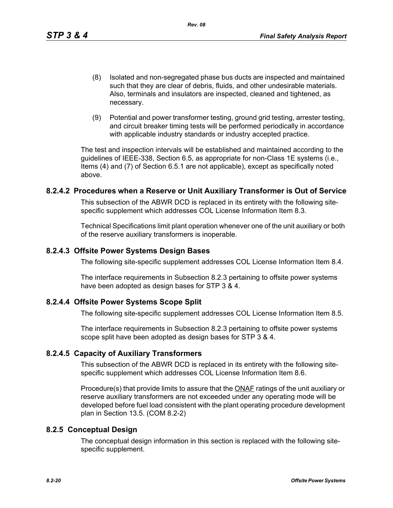- (8) Isolated and non-segregated phase bus ducts are inspected and maintained such that they are clear of debris, fluids, and other undesirable materials. Also, terminals and insulators are inspected, cleaned and tightened, as necessary.
- (9) Potential and power transformer testing, ground grid testing, arrester testing, and circuit breaker timing tests will be performed periodically in accordance with applicable industry standards or industry accepted practice.

The test and inspection intervals will be established and maintained according to the guidelines of IEEE-338, Section 6.5, as appropriate for non-Class 1E systems (i.e., Items (4) and (7) of Section 6.5.1 are not applicable), except as specifically noted above.

## **8.2.4.2 Procedures when a Reserve or Unit Auxiliary Transformer is Out of Service**

This subsection of the ABWR DCD is replaced in its entirety with the following sitespecific supplement which addresses COL License Information Item 8.3.

Technical Specifications limit plant operation whenever one of the unit auxiliary or both of the reserve auxiliary transformers is inoperable.

## **8.2.4.3 Offsite Power Systems Design Bases**

The following site-specific supplement addresses COL License Information Item 8.4.

The interface requirements in Subsection 8.2.3 pertaining to offsite power systems have been adopted as design bases for STP 3 & 4.

## **8.2.4.4 Offsite Power Systems Scope Split**

The following site-specific supplement addresses COL License Information Item 8.5.

The interface requirements in Subsection 8.2.3 pertaining to offsite power systems scope split have been adopted as design bases for STP 3 & 4.

## **8.2.4.5 Capacity of Auxiliary Transformers**

This subsection of the ABWR DCD is replaced in its entirety with the following sitespecific supplement which addresses COL License Information Item 8.6.

Procedure(s) that provide limits to assure that the **ONAF** ratings of the unit auxiliary or reserve auxiliary transformers are not exceeded under any operating mode will be developed before fuel load consistent with the plant operating procedure development plan in Section 13.5. (COM 8.2-2)

## **8.2.5 Conceptual Design**

The conceptual design information in this section is replaced with the following sitespecific supplement.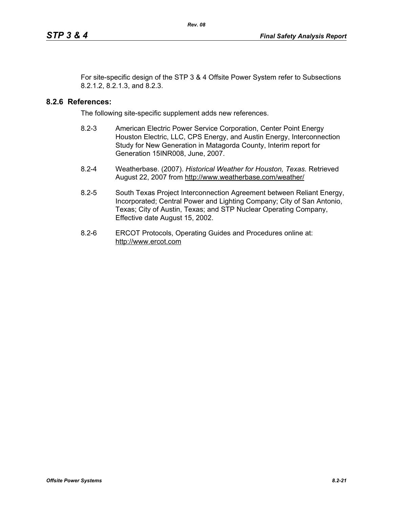For site-specific design of the STP 3 & 4 Offsite Power System refer to Subsections 8.2.1.2, 8.2.1.3, and 8.2.3.

## **8.2.6 References:**

The following site-specific supplement adds new references.

- 8.2-3 American Electric Power Service Corporation, Center Point Energy Houston Electric, LLC, CPS Energy, and Austin Energy, Interconnection Study for New Generation in Matagorda County, Interim report for Generation 15INR008, June, 2007.
- 8.2-4 Weatherbase. (2007). *Historical Weather for Houston, Texas.* Retrieved August 22, 2007 from http://www.weatherbase.com/weather/
- 8.2-5 South Texas Project Interconnection Agreement between Reliant Energy, Incorporated; Central Power and Lighting Company; City of San Antonio, Texas; City of Austin, Texas; and STP Nuclear Operating Company, Effective date August 15, 2002.
- 8.2-6 ERCOT Protocols, Operating Guides and Procedures online at: http://www.ercot.com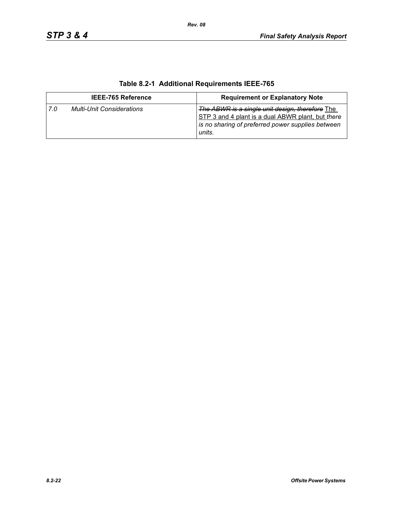| <b>IEEE-765 Reference</b> |                                  | <b>Requirement or Explanatory Note</b>                                                                                                                              |  |
|---------------------------|----------------------------------|---------------------------------------------------------------------------------------------------------------------------------------------------------------------|--|
| . 7.0                     | <b>Multi-Unit Considerations</b> | The ABWR is a single unit design, therefore The<br>STP 3 and 4 plant is a dual ABWR plant, but there<br>is no sharing of preferred power supplies between<br>units. |  |

# **Table 8.2-1 Additional Requirements IEEE-765**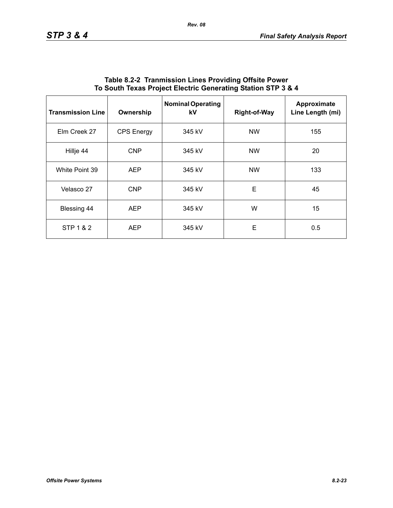| <b>Transmission Line</b> | Ownership         | <b>Nominal Operating</b><br>kV | <b>Right-of-Way</b> | Approximate<br>Line Length (mi) |
|--------------------------|-------------------|--------------------------------|---------------------|---------------------------------|
| Elm Creek 27             | <b>CPS</b> Energy | 345 kV                         | <b>NW</b>           | 155                             |
| Hillje 44                | <b>CNP</b>        | 345 kV                         | <b>NW</b>           | 20                              |
| White Point 39           | <b>AEP</b>        | 345 kV                         | <b>NW</b>           | 133                             |
| Velasco 27               | <b>CNP</b>        | 345 kV                         | E                   | 45                              |
| <b>Blessing 44</b>       | <b>AEP</b>        | 345 kV                         | W                   | 15                              |
| STP 1 & 2                | <b>AEP</b>        | 345 kV                         | E                   | 0.5                             |

## **Table 8.2-2 Tranmission Lines Providing Offsite Power To South Texas Project Electric Generating Station STP 3 & 4**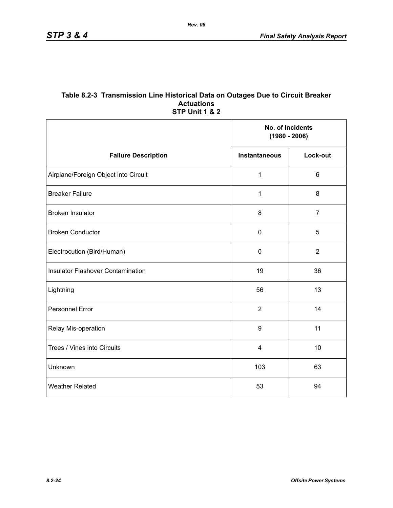## **Table 8.2-3 Transmission Line Historical Data on Outages Due to Circuit Breaker Actuations STP Unit 1 & 2**

*Rev. 08*

|                                          | No. of Incidents<br>$(1980 - 2006)$ |                |
|------------------------------------------|-------------------------------------|----------------|
| <b>Failure Description</b>               | <b>Instantaneous</b>                | Lock-out       |
| Airplane/Foreign Object into Circuit     | $\mathbf{1}$                        | $6\phantom{1}$ |
| <b>Breaker Failure</b>                   | 1                                   | 8              |
| <b>Broken Insulator</b>                  | 8                                   | $\overline{7}$ |
| <b>Broken Conductor</b>                  | $\mathbf 0$                         | 5              |
| Electrocution (Bird/Human)               | $\pmb{0}$                           | $\overline{2}$ |
| <b>Insulator Flashover Contamination</b> | 19                                  | 36             |
| Lightning                                | 56                                  | 13             |
| <b>Personnel Error</b>                   | $\overline{2}$                      | 14             |
| Relay Mis-operation                      | 9                                   | 11             |
| Trees / Vines into Circuits              | $\overline{\mathbf{4}}$             | 10             |
| Unknown                                  | 103                                 | 63             |
| <b>Weather Related</b>                   | 53                                  | 94             |